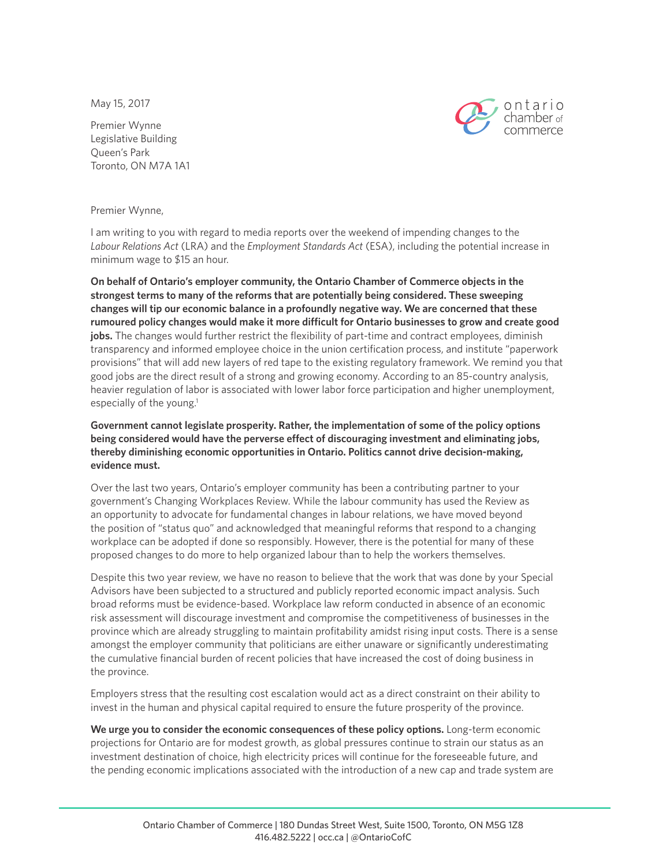May 15, 2017



Premier Wynne Legislative Building Queen's Park Toronto, ON M7A 1A1

Premier Wynne,

I am writing to you with regard to media reports over the weekend of impending changes to the *Labour Relations Act* (LRA) and the *Employment Standards Act* (ESA), including the potential increase in minimum wage to \$15 an hour.

**On behalf of Ontario's employer community, the Ontario Chamber of Commerce objects in the strongest terms to many of the reforms that are potentially being considered. These sweeping changes will tip our economic balance in a profoundly negative way. We are concerned that these rumoured policy changes would make it more difficult for Ontario businesses to grow and create good**  jobs. The changes would further restrict the flexibility of part-time and contract employees, diminish transparency and informed employee choice in the union certification process, and institute "paperwork provisions" that will add new layers of red tape to the existing regulatory framework. We remind you that good jobs are the direct result of a strong and growing economy. According to an 85-country analysis, heavier regulation of labor is associated with lower labor force participation and higher unemployment, especially of the young.<sup>1</sup>

**Government cannot legislate prosperity. Rather, the implementation of some of the policy options being considered would have the perverse effect of discouraging investment and eliminating jobs, thereby diminishing economic opportunities in Ontario. Politics cannot drive decision-making, evidence must.**

Over the last two years, Ontario's employer community has been a contributing partner to your government's Changing Workplaces Review. While the labour community has used the Review as an opportunity to advocate for fundamental changes in labour relations, we have moved beyond the position of "status quo" and acknowledged that meaningful reforms that respond to a changing workplace can be adopted if done so responsibly. However, there is the potential for many of these proposed changes to do more to help organized labour than to help the workers themselves.

Despite this two year review, we have no reason to believe that the work that was done by your Special Advisors have been subjected to a structured and publicly reported economic impact analysis. Such broad reforms must be evidence-based. Workplace law reform conducted in absence of an economic risk assessment will discourage investment and compromise the competitiveness of businesses in the province which are already struggling to maintain profitability amidst rising input costs. There is a sense amongst the employer community that politicians are either unaware or significantly underestimating the cumulative financial burden of recent policies that have increased the cost of doing business in the province.

Employers stress that the resulting cost escalation would act as a direct constraint on their ability to invest in the human and physical capital required to ensure the future prosperity of the province.

**We urge you to consider the economic consequences of these policy options.** Long-term economic projections for Ontario are for modest growth, as global pressures continue to strain our status as an investment destination of choice, high electricity prices will continue for the foreseeable future, and the pending economic implications associated with the introduction of a new cap and trade system are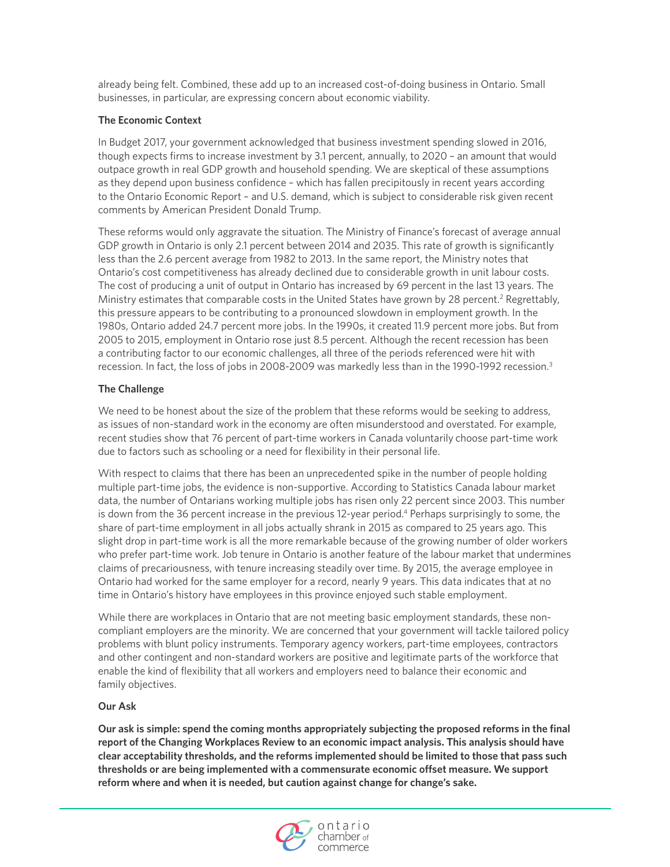already being felt. Combined, these add up to an increased cost-of-doing business in Ontario. Small businesses, in particular, are expressing concern about economic viability.

## **The Economic Context**

In Budget 2017, your government acknowledged that business investment spending slowed in 2016, though expects firms to increase investment by 3.1 percent, annually, to 2020 – an amount that would outpace growth in real GDP growth and household spending. We are skeptical of these assumptions as they depend upon business confidence – which has fallen precipitously in recent years according to the Ontario Economic Report – and U.S. demand, which is subject to considerable risk given recent comments by American President Donald Trump.

These reforms would only aggravate the situation. The Ministry of Finance's forecast of average annual GDP growth in Ontario is only 2.1 percent between 2014 and 2035. This rate of growth is significantly less than the 2.6 percent average from 1982 to 2013. In the same report, the Ministry notes that Ontario's cost competitiveness has already declined due to considerable growth in unit labour costs. The cost of producing a unit of output in Ontario has increased by 69 percent in the last 13 years. The Ministry estimates that comparable costs in the United States have grown by 28 percent.<sup>2</sup> Regrettably, this pressure appears to be contributing to a pronounced slowdown in employment growth. In the 1980s, Ontario added 24.7 percent more jobs. In the 1990s, it created 11.9 percent more jobs. But from 2005 to 2015, employment in Ontario rose just 8.5 percent. Although the recent recession has been a contributing factor to our economic challenges, all three of the periods referenced were hit with recession. In fact, the loss of jobs in 2008-2009 was markedly less than in the 1990-1992 recession.<sup>3</sup>

## **The Challenge**

We need to be honest about the size of the problem that these reforms would be seeking to address, as issues of non-standard work in the economy are often misunderstood and overstated. For example, recent studies show that 76 percent of part-time workers in Canada voluntarily choose part-time work due to factors such as schooling or a need for flexibility in their personal life.

With respect to claims that there has been an unprecedented spike in the number of people holding multiple part-time jobs, the evidence is non-supportive. According to Statistics Canada labour market data, the number of Ontarians working multiple jobs has risen only 22 percent since 2003. This number is down from the 36 percent increase in the previous 12-year period.4 Perhaps surprisingly to some, the share of part-time employment in all jobs actually shrank in 2015 as compared to 25 years ago. This slight drop in part-time work is all the more remarkable because of the growing number of older workers who prefer part-time work. Job tenure in Ontario is another feature of the labour market that undermines claims of precariousness, with tenure increasing steadily over time. By 2015, the average employee in Ontario had worked for the same employer for a record, nearly 9 years. This data indicates that at no time in Ontario's history have employees in this province enjoyed such stable employment.

While there are workplaces in Ontario that are not meeting basic employment standards, these noncompliant employers are the minority. We are concerned that your government will tackle tailored policy problems with blunt policy instruments. Temporary agency workers, part-time employees, contractors and other contingent and non-standard workers are positive and legitimate parts of the workforce that enable the kind of flexibility that all workers and employers need to balance their economic and family objectives.

## **Our Ask**

**Our ask is simple: spend the coming months appropriately subjecting the proposed reforms in the final report of the Changing Workplaces Review to an economic impact analysis. This analysis should have clear acceptability thresholds, and the reforms implemented should be limited to those that pass such thresholds or are being implemented with a commensurate economic offset measure. We support reform where and when it is needed, but caution against change for change's sake.**